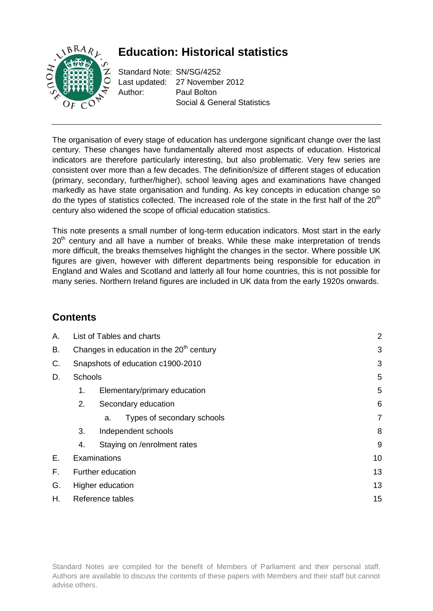# **Education: Historical statistics**



Standard Note: SN/SG/4252 Last updated: 27 November 2012 Author: Paul Bolton Social & General Statistics

The organisation of every stage of education has undergone significant change over the last century. These changes have fundamentally altered most aspects of education. Historical indicators are therefore particularly interesting, but also problematic. Very few series are consistent over more than a few decades. The definition/size of different stages of education (primary, secondary, further/higher), school leaving ages and examinations have changed markedly as have state organisation and funding. As key concepts in education change so do the types of statistics collected. The increased role of the state in the first half of the  $20<sup>th</sup>$ century also widened the scope of official education statistics.

This note presents a small number of long-term education indicators. Most start in the early  $20<sup>th</sup>$  century and all have a number of breaks. While these make interpretation of trends more difficult, the breaks themselves highlight the changes in the sector. Where possible UK figures are given, however with different departments being responsible for education in England and Wales and Scotland and latterly all four home countries, this is not possible for many series. Northern Ireland figures are included in UK data from the early 1920s onwards.

## **Contents**

| А. | List of Tables and charts                            |                                   |    |
|----|------------------------------------------------------|-----------------------------------|----|
| В. | Changes in education in the 20 <sup>th</sup> century | 3                                 |    |
| С. |                                                      | Snapshots of education c1900-2010 | 3  |
| D. | Schools                                              |                                   | 5  |
|    | 1.                                                   | Elementary/primary education      | 5  |
|    | 2.                                                   | Secondary education               | 6  |
|    |                                                      | Types of secondary schools<br>a.  | 7  |
|    | 3.                                                   | Independent schools               | 8  |
|    | 4.                                                   | Staying on /enrolment rates       | 9  |
| Е. |                                                      | Examinations                      | 10 |
| F. |                                                      | Further education                 | 13 |
| G. |                                                      | Higher education                  | 13 |
| Н. |                                                      | Reference tables                  | 15 |
|    |                                                      |                                   |    |

Standard Notes are compiled for the benefit of Members of Parliament and their personal staff. Authors are available to discuss the contents of these papers with Members and their staff but cannot advise others.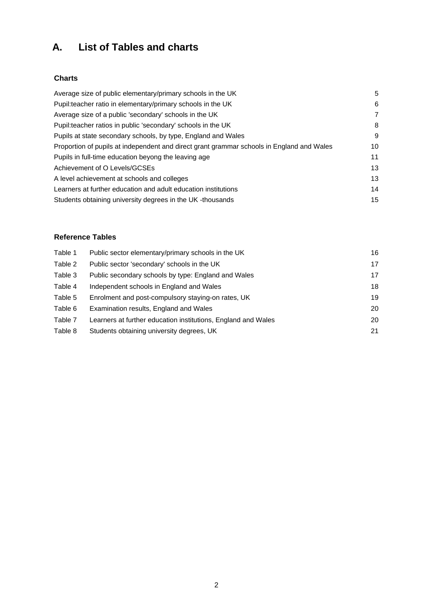# <span id="page-1-0"></span>**A. List of Tables and charts**

## **Charts**

| Average size of public elementary/primary schools in the UK                               | 5  |
|-------------------------------------------------------------------------------------------|----|
| Pupil: teacher ratio in elementary/primary schools in the UK                              | 6  |
| Average size of a public 'secondary' schools in the UK                                    | 7  |
| Pupil: teacher ratios in public 'secondary' schools in the UK                             | 8  |
| Pupils at state secondary schools, by type, England and Wales                             | 9  |
| Proportion of pupils at independent and direct grant grammar schools in England and Wales | 10 |
| Pupils in full-time education beyong the leaving age                                      | 11 |
| Achievement of O Levels/GCSEs                                                             | 13 |
| A level achievement at schools and colleges                                               | 13 |
| Learners at further education and adult education institutions                            | 14 |
| Students obtaining university degrees in the UK-thousands                                 | 15 |
|                                                                                           |    |

## **Reference Tables**

| Table 1 | Public sector elementary/primary schools in the UK            | 16 |
|---------|---------------------------------------------------------------|----|
| Table 2 | Public sector 'secondary' schools in the UK                   | 17 |
| Table 3 | Public secondary schools by type: England and Wales           | 17 |
| Table 4 | Independent schools in England and Wales                      | 18 |
| Table 5 | Enrolment and post-compulsory staying-on rates, UK            | 19 |
| Table 6 | Examination results, England and Wales                        | 20 |
| Table 7 | Learners at further education institutions, England and Wales | 20 |
| Table 8 | Students obtaining university degrees, UK                     | 21 |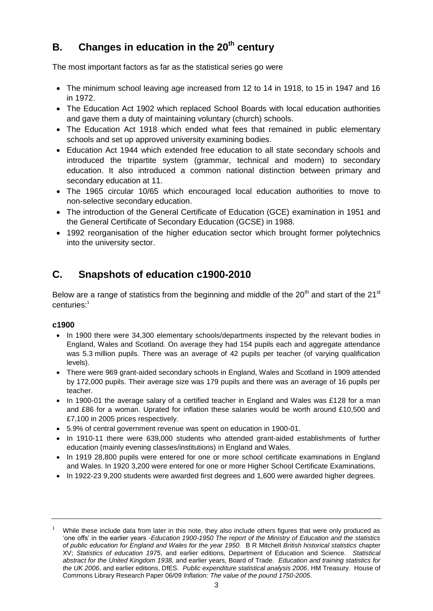# <span id="page-2-0"></span>**B. Changes in education in the 20th century**

The most important factors as far as the statistical series go were

- The minimum school leaving age increased from 12 to 14 in 1918, to 15 in 1947 and 16 in 1972.
- The Education Act 1902 which replaced School Boards with local education authorities and gave them a duty of maintaining voluntary (church) schools.
- The Education Act 1918 which ended what fees that remained in public elementary schools and set up approved university examining bodies.
- Education Act 1944 which extended free education to all state secondary schools and introduced the tripartite system (grammar, technical and modern) to secondary education. It also introduced a common national distinction between primary and secondary education at 11.
- The 1965 circular 10/65 which encouraged local education authorities to move to non-selective secondary education.
- The introduction of the General Certificate of Education (GCE) examination in 1951 and the General Certificate of Secondary Education (GCSE) in 1988.
- 1992 reorganisation of the higher education sector which brought former polytechnics into the university sector.

## <span id="page-2-1"></span>**C. Snapshots of education c1900-2010**

Below are a range of statistics from the beginning and middle of the  $20<sup>th</sup>$  and start of the  $21<sup>st</sup>$ centuries: 1

## **c1900**

- In 1900 there were 34,300 elementary schools/departments inspected by the relevant bodies in England, Wales and Scotland. On average they had 154 pupils each and aggregate attendance was 5.3 million pupils. There was an average of 42 pupils per teacher (of varying qualification levels).
- There were 969 grant-aided secondary schools in England, Wales and Scotland in 1909 attended by 172,000 pupils. Their average size was 179 pupils and there was an average of 16 pupils per teacher.
- In 1900-01 the average salary of a certified teacher in England and Wales was £128 for a man and £86 for a woman. Uprated for inflation these salaries would be worth around £10,500 and £7,100 in 2005 prices respectively.
- 5.9% of central government revenue was spent on education in 1900-01.
- In 1910-11 there were 639,000 students who attended grant-aided establishments of further education (mainly evening classes/institutions) in England and Wales.
- In 1919 28,800 pupils were entered for one or more school certificate examinations in England and Wales. In 1920 3,200 were entered for one or more Higher School Certificate Examinations.
- In 1922-23 9,200 students were awarded first degrees and 1,600 were awarded higher degrees.

While these include data from later in this note, they also include others figures that were only produced as 'one offs' in the earlier years -*Education 1900-1950 The report of the Ministry of Education and the statistics of public education for England and Wales for the year 1950.* B R Mitchell *British historical statistics* chapter XV; *Statistics of education 1975*, and earlier editions, Department of Education and Science. *Statistical abstract for the United Kingdom 1938,* and earlier years, Board of Trade. *Education and training statistics for the UK 2006*, and earlier editions, DfES. *Public expenditure statistical analysis 2006*, HM Treasury. House of Commons Library Research Paper 06/09 *Inflation: The value of the pound 1750-2005*.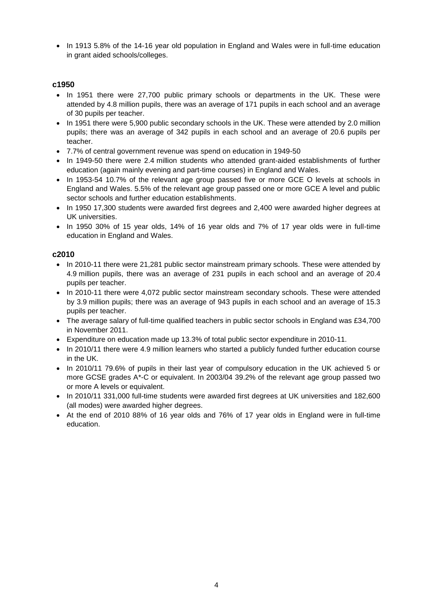• In 1913 5.8% of the 14-16 year old population in England and Wales were in full-time education in grant aided schools/colleges.

### **c1950**

- In 1951 there were 27,700 public primary schools or departments in the UK. These were attended by 4.8 million pupils, there was an average of 171 pupils in each school and an average of 30 pupils per teacher.
- In 1951 there were 5,900 public secondary schools in the UK. These were attended by 2.0 million pupils; there was an average of 342 pupils in each school and an average of 20.6 pupils per teacher.
- 7.7% of central government revenue was spend on education in 1949-50
- In 1949-50 there were 2.4 million students who attended grant-aided establishments of further education (again mainly evening and part-time courses) in England and Wales.
- In 1953-54 10.7% of the relevant age group passed five or more GCE O levels at schools in England and Wales. 5.5% of the relevant age group passed one or more GCE A level and public sector schools and further education establishments.
- In 1950 17,300 students were awarded first degrees and 2,400 were awarded higher degrees at UK universities.
- In 1950 30% of 15 year olds, 14% of 16 year olds and 7% of 17 year olds were in full-time education in England and Wales.

### **c2010**

- In 2010-11 there were 21,281 public sector mainstream primary schools. These were attended by 4.9 million pupils, there was an average of 231 pupils in each school and an average of 20.4 pupils per teacher.
- In 2010-11 there were 4,072 public sector mainstream secondary schools. These were attended by 3.9 million pupils; there was an average of 943 pupils in each school and an average of 15.3 pupils per teacher.
- The average salary of full-time qualified teachers in public sector schools in England was £34,700 in November 2011.
- Expenditure on education made up 13.3% of total public sector expenditure in 2010-11.
- In 2010/11 there were 4.9 million learners who started a publicly funded further education course in the UK.
- In 2010/11 79.6% of pupils in their last year of compulsory education in the UK achieved 5 or more GCSE grades A\*-C or equivalent. In 2003/04 39.2% of the relevant age group passed two or more A levels or equivalent.
- In 2010/11 331,000 full-time students were awarded first degrees at UK universities and 182,600 (all modes) were awarded higher degrees.
- At the end of 2010 88% of 16 year olds and 76% of 17 year olds in England were in full-time education.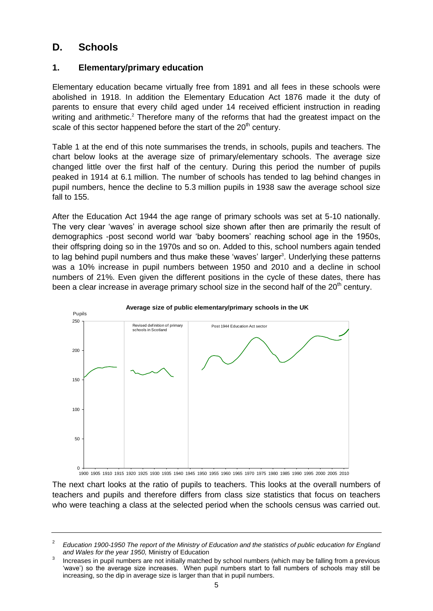## <span id="page-4-0"></span>**D. Schools**

## <span id="page-4-1"></span>**1. Elementary/primary education**

Elementary education became virtually free from 1891 and all fees in these schools were abolished in 1918. In addition the Elementary Education Act 1876 made it the duty of parents to ensure that every child aged under 14 received efficient instruction in reading writing and arithmetic.<sup>2</sup> Therefore many of the reforms that had the greatest impact on the scale of this sector happened before the start of the  $20<sup>th</sup>$  century.

Table 1 at the end of this note summarises the trends, in schools, pupils and teachers. The chart below looks at the average size of primary/elementary schools. The average size changed little over the first half of the century. During this period the number of pupils peaked in 1914 at 6.1 million. The number of schools has tended to lag behind changes in pupil numbers, hence the decline to 5.3 million pupils in 1938 saw the average school size fall to 155.

After the Education Act 1944 the age range of primary schools was set at 5-10 nationally. The very clear 'waves' in average school size shown after then are primarily the result of demographics -post second world war 'baby boomers' reaching school age in the 1950s, their offspring doing so in the 1970s and so on. Added to this, school numbers again tended to lag behind pupil numbers and thus make these 'waves' larger<sup>3</sup>. Underlying these patterns was a 10% increase in pupil numbers between 1950 and 2010 and a decline in school numbers of 21%. Even given the different positions in the cycle of these dates, there has been a clear increase in average primary school size in the second half of the  $20<sup>th</sup>$  century.



0 1900 1905 1910 1915 1920 1925 1930 1935 1940 1945 1950 1955 1960 1965 1970 1975 1980 1985 1990 1995 2000 2005 2010

The next chart looks at the ratio of pupils to teachers. This looks at the overall numbers of teachers and pupils and therefore differs from class size statistics that focus on teachers who were teaching a class at the selected period when the schools census was carried out.

<sup>2</sup> *Education 1900-1950 The report of the Ministry of Education and the statistics of public education for England and Wales for the year 1950,* Ministry of Education

<sup>3</sup> Increases in pupil numbers are not initially matched by school numbers (which may be falling from a previous 'wave') so the average size increases. When pupil numbers start to fall numbers of schools may still be increasing, so the dip in average size is larger than that in pupil numbers.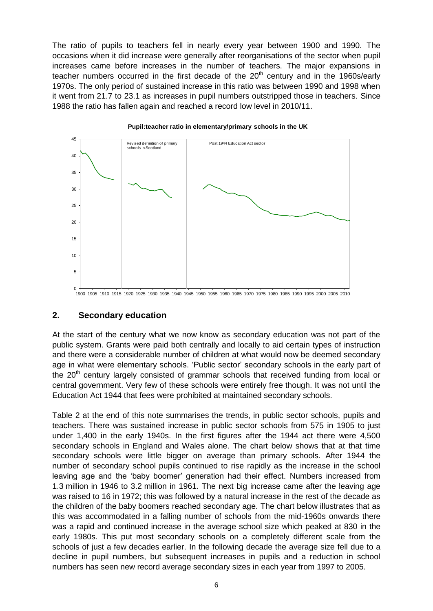The ratio of pupils to teachers fell in nearly every year between 1900 and 1990. The occasions when it did increase were generally after reorganisations of the sector when pupil increases came before increases in the number of teachers. The major expansions in teacher numbers occurred in the first decade of the  $20<sup>th</sup>$  century and in the 1960s/early 1970s. The only period of sustained increase in this ratio was between 1990 and 1998 when it went from 21.7 to 23.1 as increases in pupil numbers outstripped those in teachers. Since 1988 the ratio has fallen again and reached a record low level in 2010/11.



**Pupil:teacher ratio in elementary/primary schools in the UK**

1900 1905 1910 1915 1920 1925 1930 1935 1940 1945 1950 1955 1960 1965 1970 1975 1980 1985 1990 1995 2000 2005 2010

## <span id="page-5-0"></span>**2. Secondary education**

At the start of the century what we now know as secondary education was not part of the public system. Grants were paid both centrally and locally to aid certain types of instruction and there were a considerable number of children at what would now be deemed secondary age in what were elementary schools. 'Public sector' secondary schools in the early part of the  $20<sup>th</sup>$  century largely consisted of grammar schools that received funding from local or central government. Very few of these schools were entirely free though. It was not until the Education Act 1944 that fees were prohibited at maintained secondary schools.

Table 2 at the end of this note summarises the trends, in public sector schools, pupils and teachers. There was sustained increase in public sector schools from 575 in 1905 to just under 1,400 in the early 1940s. In the first figures after the 1944 act there were 4,500 secondary schools in England and Wales alone. The chart below shows that at that time secondary schools were little bigger on average than primary schools. After 1944 the number of secondary school pupils continued to rise rapidly as the increase in the school leaving age and the 'baby boomer' generation had their effect. Numbers increased from 1.3 million in 1946 to 3.2 million in 1961. The next big increase came after the leaving age was raised to 16 in 1972; this was followed by a natural increase in the rest of the decade as the children of the baby boomers reached secondary age. The chart below illustrates that as this was accommodated in a falling number of schools from the mid-1960s onwards there was a rapid and continued increase in the average school size which peaked at 830 in the early 1980s. This put most secondary schools on a completely different scale from the schools of just a few decades earlier. In the following decade the average size fell due to a decline in pupil numbers, but subsequent increases in pupils and a reduction in school numbers has seen new record average secondary sizes in each year from 1997 to 2005.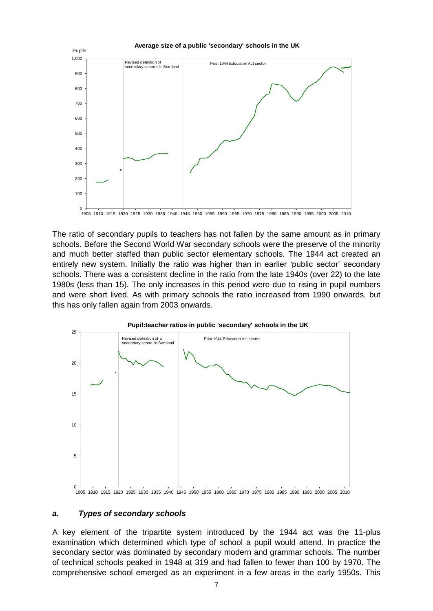

1905 1910 1915 1920 1925 1930 1935 1940 1945 1950 1955 1960 1965 1970 1975 1980 1985 1990 1995 2000 2005 2010

The ratio of secondary pupils to teachers has not fallen by the same amount as in primary schools. Before the Second World War secondary schools were the preserve of the minority and much better staffed than public sector elementary schools. The 1944 act created an entirely new system. Initially the ratio was higher than in earlier 'public sector' secondary schools. There was a consistent decline in the ratio from the late 1940s (over 22) to the late 1980s (less than 15). The only increases in this period were due to rising in pupil numbers and were short lived. As with primary schools the ratio increased from 1990 onwards, but this has only fallen again from 2003 onwards.





## <span id="page-6-0"></span>*a. Types of secondary schools*

A key element of the tripartite system introduced by the 1944 act was the 11-plus examination which determined which type of school a pupil would attend. In practice the secondary sector was dominated by secondary modern and grammar schools. The number of technical schools peaked in 1948 at 319 and had fallen to fewer than 100 by 1970. The comprehensive school emerged as an experiment in a few areas in the early 1950s. This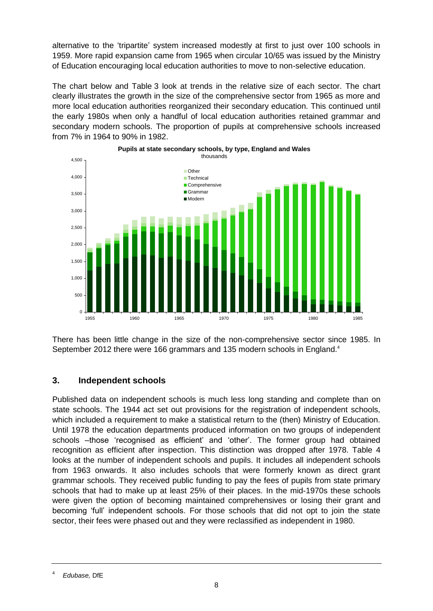alternative to the 'tripartite' system increased modestly at first to just over 100 schools in 1959. More rapid expansion came from 1965 when circular 10/65 was issued by the Ministry of Education encouraging local education authorities to move to non-selective education.

The chart below and Table 3 look at trends in the relative size of each sector. The chart clearly illustrates the growth in the size of the comprehensive sector from 1965 as more and more local education authorities reorganized their secondary education. This continued until the early 1980s when only a handful of local education authorities retained grammar and secondary modern schools. The proportion of pupils at comprehensive schools increased from 7% in 1964 to 90% in 1982.





There has been little change in the size of the non-comprehensive sector since 1985. In September 2012 there were 166 grammars and 135 modern schools in England.<sup>4</sup>

## <span id="page-7-0"></span>**3. Independent schools**

Published data on independent schools is much less long standing and complete than on state schools. The 1944 act set out provisions for the registration of independent schools, which included a requirement to make a statistical return to the (then) Ministry of Education. Until 1978 the education departments produced information on two groups of independent schools –those 'recognised as efficient' and 'other'. The former group had obtained recognition as efficient after inspection. This distinction was dropped after 1978. Table 4 looks at the number of independent schools and pupils. It includes all independent schools from 1963 onwards. It also includes schools that were formerly known as direct grant grammar schools. They received public funding to pay the fees of pupils from state primary schools that had to make up at least 25% of their places. In the mid-1970s these schools were given the option of becoming maintained comprehensives or losing their grant and becoming 'full' independent schools. For those schools that did not opt to join the state sector, their fees were phased out and they were reclassified as independent in 1980.

<sup>4</sup> *Edubase,* DfE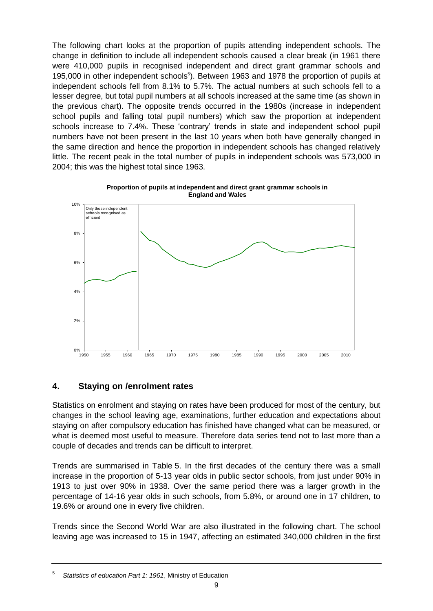The following chart looks at the proportion of pupils attending independent schools. The change in definition to include all independent schools caused a clear break (in 1961 there were 410,000 pupils in recognised independent and direct grant grammar schools and 195,000 in other independent schools<sup>5</sup>). Between 1963 and 1978 the proportion of pupils at independent schools fell from 8.1% to 5.7%. The actual numbers at such schools fell to a lesser degree, but total pupil numbers at all schools increased at the same time (as shown in the previous chart). The opposite trends occurred in the 1980s (increase in independent school pupils and falling total pupil numbers) which saw the proportion at independent schools increase to 7.4%. These 'contrary' trends in state and independent school pupil numbers have not been present in the last 10 years when both have generally changed in the same direction and hence the proportion in independent schools has changed relatively little. The recent peak in the total number of pupils in independent schools was 573,000 in 2004; this was the highest total since 1963.



**Proportion of pupils at independent and direct grant grammar schools in England and Wales**

## <span id="page-8-0"></span>**4. Staying on /enrolment rates**

Statistics on enrolment and staying on rates have been produced for most of the century, but changes in the school leaving age, examinations, further education and expectations about staying on after compulsory education has finished have changed what can be measured, or what is deemed most useful to measure. Therefore data series tend not to last more than a couple of decades and trends can be difficult to interpret.

Trends are summarised in Table 5. In the first decades of the century there was a small increase in the proportion of 5-13 year olds in public sector schools, from just under 90% in 1913 to just over 90% in 1938. Over the same period there was a larger growth in the percentage of 14-16 year olds in such schools, from 5.8%, or around one in 17 children, to 19.6% or around one in every five children.

Trends since the Second World War are also illustrated in the following chart. The school leaving age was increased to 15 in 1947, affecting an estimated 340,000 children in the first

<sup>5</sup> *Statistics of education Part 1: 1961*, Ministry of Education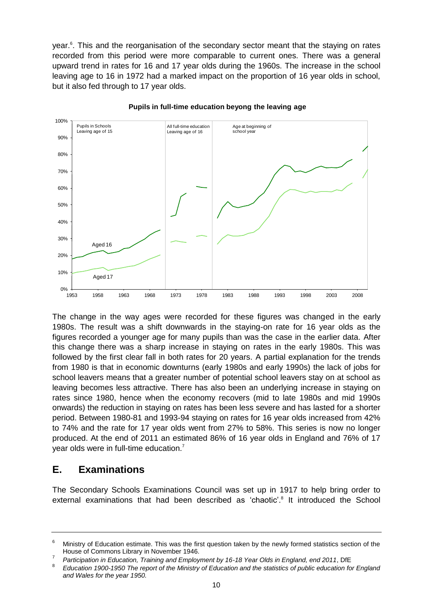year.<sup>6</sup>. This and the reorganisation of the secondary sector meant that the staying on rates recorded from this period were more comparable to current ones. There was a general upward trend in rates for 16 and 17 year olds during the 1960s. The increase in the school leaving age to 16 in 1972 had a marked impact on the proportion of 16 year olds in school, but it also fed through to 17 year olds.



### **Pupils in full-time education beyong the leaving age**

The change in the way ages were recorded for these figures was changed in the early 1980s. The result was a shift downwards in the staying-on rate for 16 year olds as the figures recorded a younger age for many pupils than was the case in the earlier data. After this change there was a sharp increase in staying on rates in the early 1980s. This was followed by the first clear fall in both rates for 20 years. A partial explanation for the trends from 1980 is that in economic downturns (early 1980s and early 1990s) the lack of jobs for school leavers means that a greater number of potential school leavers stay on at school as leaving becomes less attractive. There has also been an underlying increase in staying on rates since 1980, hence when the economy recovers (mid to late 1980s and mid 1990s onwards) the reduction in staying on rates has been less severe and has lasted for a shorter period. Between 1980-81 and 1993-94 staying on rates for 16 year olds increased from 42% to 74% and the rate for 17 year olds went from 27% to 58%. This series is now no longer produced. At the end of 2011 an estimated 86% of 16 year olds in England and 76% of 17 year olds were in full-time education.<sup>7</sup>

## <span id="page-9-0"></span>**E. Examinations**

The Secondary Schools Examinations Council was set up in 1917 to help bring order to external examinations that had been described as 'chaotic'.<sup>8</sup> It introduced the School

 $6$  Ministry of Education estimate. This was the first question taken by the newly formed statistics section of the House of Commons Library in November 1946.

<sup>7</sup> *Participation in Education, Training and Employment by 16-18 Year Olds in England, end 2011*, DfE

<sup>8</sup> *Education 1900-1950 The report of the Ministry of Education and the statistics of public education for England and Wales for the year 1950.*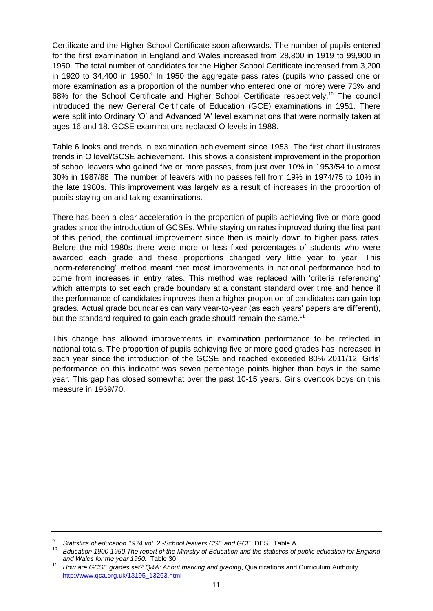Certificate and the Higher School Certificate soon afterwards. The number of pupils entered for the first examination in England and Wales increased from 28,800 in 1919 to 99,900 in 1950. The total number of candidates for the Higher School Certificate increased from 3,200 in 1920 to 34,400 in 1950.<sup>9</sup> In 1950 the aggregate pass rates (pupils who passed one or more examination as a proportion of the number who entered one or more) were 73% and 68% for the School Certificate and Higher School Certificate respectively.<sup>10</sup> The council introduced the new General Certificate of Education (GCE) examinations in 1951. There were split into Ordinary 'O' and Advanced 'A' level examinations that were normally taken at ages 16 and 18. GCSE examinations replaced O levels in 1988.

Table 6 looks and trends in examination achievement since 1953. The first chart illustrates trends in O level/GCSE achievement. This shows a consistent improvement in the proportion of school leavers who gained five or more passes, from just over 10% in 1953/54 to almost 30% in 1987/88. The number of leavers with no passes fell from 19% in 1974/75 to 10% in the late 1980s. This improvement was largely as a result of increases in the proportion of pupils staying on and taking examinations.

There has been a clear acceleration in the proportion of pupils achieving five or more good grades since the introduction of GCSEs. While staying on rates improved during the first part of this period, the continual improvement since then is mainly down to higher pass rates. Before the mid-1980s there were more or less fixed percentages of students who were awarded each grade and these proportions changed very little year to year. This 'norm-referencing' method meant that most improvements in national performance had to come from increases in entry rates. This method was replaced with 'criteria referencing' which attempts to set each grade boundary at a constant standard over time and hence if the performance of candidates improves then a higher proportion of candidates can gain top grades. Actual grade boundaries can vary year-to-year (as each years' papers are different), but the standard required to gain each grade should remain the same.<sup>11</sup>

This change has allowed improvements in examination performance to be reflected in national totals. The proportion of pupils achieving five or more good grades has increased in each year since the introduction of the GCSE and reached exceeded 80% 2011/12. Girls' performance on this indicator was seven percentage points higher than boys in the same year. This gap has closed somewhat over the past 10-15 years. Girls overtook boys on this measure in 1969/70.

<sup>9</sup> *Statistics of education 1974 vol. 2 -School leavers CSE and GCE*, DES. Table A

<sup>10</sup> *Education 1900-1950 The report of the Ministry of Education and the statistics of public education for England and Wales for the year 1950.* Table 30

<sup>11</sup> *How are GCSE grades set? Q&A: About marking and grading*, Qualifications and Curriculum Authority. [http://www.qca.org.uk/13195\\_13263.html](http://www.qca.org.uk/13195_13263.html)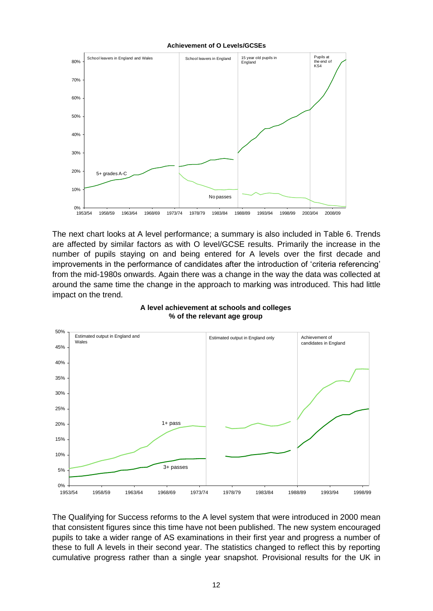### **Achievement of O Levels/GCSEs**



The next chart looks at A level performance; a summary is also included in Table 6. Trends are affected by similar factors as with O level/GCSE results. Primarily the increase in the number of pupils staying on and being entered for A levels over the first decade and improvements in the performance of candidates after the introduction of 'criteria referencing' from the mid-1980s onwards. Again there was a change in the way the data was collected at around the same time the change in the approach to marking was introduced. This had little impact on the trend.



### **A level achievement at schools and colleges % of the relevant age group**

The Qualifying for Success reforms to the A level system that were introduced in 2000 mean that consistent figures since this time have not been published. The new system encouraged pupils to take a wider range of AS examinations in their first year and progress a number of these to full A levels in their second year. The statistics changed to reflect this by reporting cumulative progress rather than a single year snapshot. Provisional results for the UK in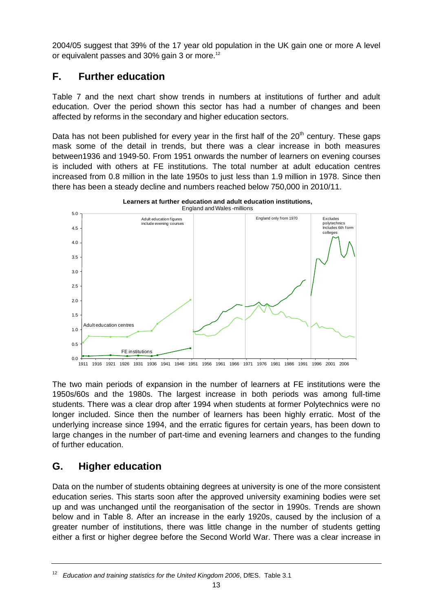2004/05 suggest that 39% of the 17 year old population in the UK gain one or more A level or equivalent passes and 30% gain 3 or more.<sup>12</sup>

## <span id="page-12-0"></span>**F. Further education**

Table 7 and the next chart show trends in numbers at institutions of further and adult education. Over the period shown this sector has had a number of changes and been affected by reforms in the secondary and higher education sectors.

Data has not been published for every year in the first half of the  $20<sup>th</sup>$  century. These gaps mask some of the detail in trends, but there was a clear increase in both measures between1936 and 1949-50. From 1951 onwards the number of learners on evening courses is included with others at FE institutions. The total number at adult education centres increased from 0.8 million in the late 1950s to just less than 1.9 million in 1978. Since then there has been a steady decline and numbers reached below 750,000 in 2010/11.



The two main periods of expansion in the number of learners at FE institutions were the 1950s/60s and the 1980s. The largest increase in both periods was among full-time students. There was a clear drop after 1994 when students at former Polytechnics were no longer included. Since then the number of learners has been highly erratic. Most of the underlying increase since 1994, and the erratic figures for certain years, has been down to large changes in the number of part-time and evening learners and changes to the funding of further education.

## <span id="page-12-1"></span>**G. Higher education**

Data on the number of students obtaining degrees at university is one of the more consistent education series. This starts soon after the approved university examining bodies were set up and was unchanged until the reorganisation of the sector in 1990s. Trends are shown below and in Table 8. After an increase in the early 1920s, caused by the inclusion of a greater number of institutions, there was little change in the number of students getting either a first or higher degree before the Second World War. There was a clear increase in

<sup>12</sup> *Education and training statistics for the United Kingdom 2006*, DfES. Table 3.1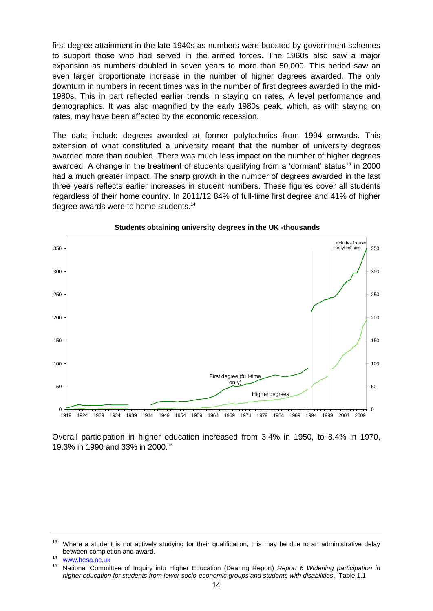first degree attainment in the late 1940s as numbers were boosted by government schemes to support those who had served in the armed forces. The 1960s also saw a major expansion as numbers doubled in seven years to more than 50,000. This period saw an even larger proportionate increase in the number of higher degrees awarded. The only downturn in numbers in recent times was in the number of first degrees awarded in the mid-1980s. This in part reflected earlier trends in staying on rates, A level performance and demographics. It was also magnified by the early 1980s peak, which, as with staying on rates, may have been affected by the economic recession.

The data include degrees awarded at former polytechnics from 1994 onwards. This extension of what constituted a university meant that the number of university degrees awarded more than doubled. There was much less impact on the number of higher degrees awarded. A change in the treatment of students qualifying from a 'dormant' status<sup>13</sup> in 2000 had a much greater impact. The sharp growth in the number of degrees awarded in the last three years reflects earlier increases in student numbers. These figures cover all students regardless of their home country. In 2011/12 84% of full-time first degree and 41% of higher degree awards were to home students.<sup>14</sup>



### **Students obtaining university degrees in the UK -thousands**

Overall participation in higher education increased from 3.4% in 1950, to 8.4% in 1970, 19.3% in 1990 and 33% in 2000.<sup>15</sup>

 $13$  Where a student is not actively studying for their qualification, this may be due to an administrative delay between completion and award.

<sup>14</sup> [www.hesa.ac.uk](http://www.hesa.ac.uk/)

<sup>15</sup> National Committee of Inquiry into Higher Education (Dearing Report) *Report 6 Widening participation in higher education for students from lower socio-economic groups and students with disabilities*. Table 1.1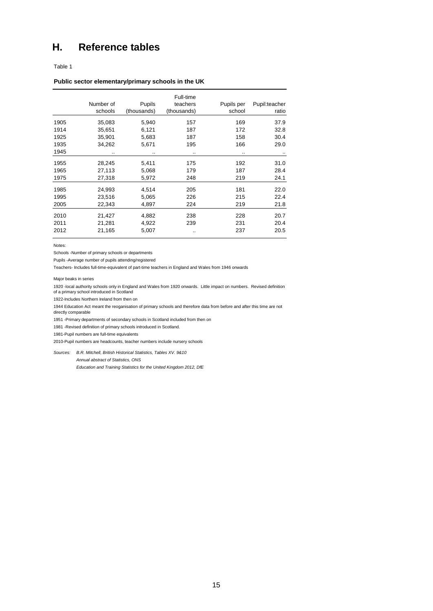## <span id="page-14-0"></span>**H. Reference tables**

Table 1

#### **Public sector elementary/primary schools in the UK**

|      | Number of<br>schools | Pupils<br>(thousands) | Full-time<br>teachers<br>(thousands) | Pupils per<br>school | Pupil:teacher<br>ratio |
|------|----------------------|-----------------------|--------------------------------------|----------------------|------------------------|
| 1905 | 35,083               | 5,940                 | 157                                  | 169                  | 37.9                   |
| 1914 | 35,651               | 6,121                 | 187                                  | 172                  | 32.8                   |
| 1925 | 35,901               | 5,683                 | 187                                  | 158                  | 30.4                   |
| 1935 | 34,262               | 5,671                 | 195                                  | 166                  | 29.0                   |
| 1945 | $\cdot$ .            |                       | $\cdot$ .                            | $\sim$               |                        |
| 1955 | 28,245               | 5,411                 | 175                                  | 192                  | 31.0                   |
| 1965 | 27,113               | 5,068                 | 179                                  | 187                  | 28.4                   |
| 1975 | 27,318               | 5,972                 | 248                                  | 219                  | 24.1                   |
| 1985 | 24,993               | 4,514                 | 205                                  | 181                  | 22.0                   |
| 1995 | 23.516               | 5,065                 | 226                                  | 215                  | 22.4                   |
| 2005 | 22,343               | 4,897                 | 224                                  | 219                  | 21.8                   |
| 2010 | 21,427               | 4,882                 | 238                                  | 228                  | 20.7                   |
| 2011 | 21,281               | 4,922                 | 239                                  | 231                  | 20.4                   |
| 2012 | 21,165               | 5,007                 | ٠.                                   | 237                  | 20.5                   |

Notes:

Schools -Number of primary schools or departments

Pupils -Average number of pupils attending/registered

Teachers- Includes full-time-equivalent of part-time teachers in England and Wales from 1946 onwards

Major beaks in series

1920 -local authority schools only in England and Wales from 1920 onwards. Little impact on numbers. Revised definition of a primary school introduced in Scotland

1922-Includes Northern Ireland from then on

1944 Education Act meant the reoganisation of primary schools and therefore data from before and after this time are not directly comparable

1951 -Primary departments of secondary schools in Scotland included from then on

1981 -Revised definition of primary schools introduced in Scotland.

1981-Pupil numbers are full-time equivalents

2010-Pupil numbers are headcounts, teacher numbers include nursery schools

*Sources: B.R. Mitchell, British Historical Statistics, Tables XV. 9&10 Annual abstract of Statistics, ONS*

*Education and Training Statistics for the United Kingdom 2012, DfE*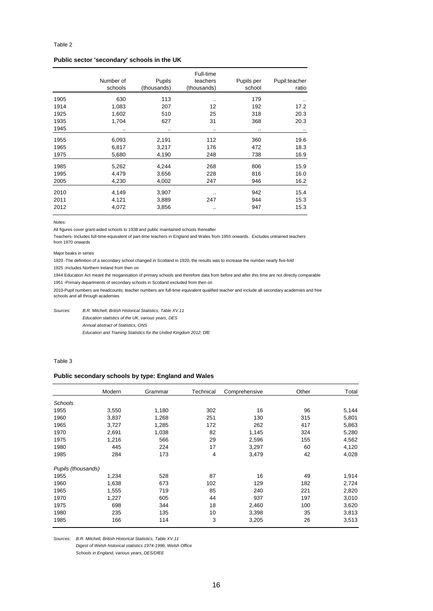### **Public sector 'secondary' schools in the UK**

|      | Number of<br>schools | Pupils<br>(thousands) | Full-time<br>teachers<br>(thousands) | Pupils per<br>school | Pupil:teacher<br>ratio |
|------|----------------------|-----------------------|--------------------------------------|----------------------|------------------------|
| 1905 | 630                  | 113                   |                                      | 179                  |                        |
| 1914 | 1,083                | 207                   | 12                                   | 192                  | 17.2                   |
| 1925 | 1,602                | 510                   | 25                                   | 318                  | 20.3                   |
| 1935 | 1,704                | 627                   | 31                                   | 368                  | 20.3                   |
| 1945 |                      |                       | $\bullet$ $\bullet$                  | $\cdot$ .            | $\cdot$ .              |
| 1955 | 6,093                | 2,191                 | 112                                  | 360                  | 19.6                   |
| 1965 | 6,817                | 3,217                 | 176                                  | 472                  | 18.3                   |
| 1975 | 5,680                | 4,190                 | 248                                  | 738                  | 16.9                   |
| 1985 | 5,262                | 4,244                 | 268                                  | 806                  | 15.9                   |
| 1995 | 4,479                | 3,656                 | 228                                  | 816                  | 16.0                   |
| 2005 | 4,230                | 4,002                 | 247                                  | 946                  | 16.2                   |
| 2010 | 4,149                | 3,907                 |                                      | 942                  | 15.4                   |
| 2011 | 4,121                | 3,889                 | 247                                  | 944                  | 15.3                   |
| 2012 | 4,072                | 3,856                 |                                      | 947                  | 15.3                   |

Notes:

All figures cover grant-aided schools to 1938 and public maintained schools thereafter

Teachers- Includes full-time-equivalent of part-time teachers in England and Wales from 1955 onwards. Excludes untrained teachers from 1970 onwards

Major beaks in series

1920 -The definition of a secondary school changed in Scotland in 1920, the results was to increase the number nearly five-fold

1925 -Includes Northern Ireland from then on

1944 Education Act meant the reoganisation of primary schools and therefore data from before and after this time are not directly comparable 1951 -Primary departments of secondary schools in Scotland excluded from then on

2010-Pupil numbers are headcounts; teacher numbers are full-time equivalent qualified teacher and include all secondary academies and free schools and all through academies

*Sources: B.R. Mitchell, British Historical Statistics, Table XV.11*

*Education statistics of the UK, various years, DES*

*Annual abstract of Statistics, ONS*

*Education and Training Statistics for the United Kingdom 2012, DfE*

### Table 3

### **Public secondary schools by type: England and Wales**

|                    | Modern | Grammar | Technical | Comprehensive | Other | Total |
|--------------------|--------|---------|-----------|---------------|-------|-------|
| Schools            |        |         |           |               |       |       |
| 1955               | 3,550  | 1,180   | 302       | 16            | 96    | 5,144 |
| 1960               | 3,837  | 1,268   | 251       | 130           | 315   | 5,801 |
| 1965               | 3,727  | 1,285   | 172       | 262           | 417   | 5,863 |
| 1970               | 2,691  | 1,038   | 82        | 1,145         | 324   | 5,280 |
| 1975               | 1,216  | 566     | 29        | 2,596         | 155   | 4,562 |
| 1980               | 445    | 224     | 17        | 3,297         | 60    | 4,120 |
| 1985               | 284    | 173     | 4         | 3,479         | 42    | 4,028 |
| Pupils (thousands) |        |         |           |               |       |       |
| 1955               | 1,234  | 528     | 87        | 16            | 49    | 1,914 |
| 1960               | 1,638  | 673     | 102       | 129           | 182   | 2,724 |
| 1965               | 1,555  | 719     | 85        | 240           | 221   | 2,820 |
| 1970               | 1,227  | 605     | 44        | 937           | 197   | 3,010 |
| 1975               | 698    | 344     | 18        | 2,460         | 100   | 3,620 |
| 1980               | 235    | 135     | 10        | 3,398         | 35    | 3,813 |
| 1985               | 166    | 114     | 3         | 3,205         | 26    | 3,513 |

*Sources: B.R. Mitchell, British Historical Statistics, Table XV.11*

*Digest of Welsh historical statistics 1974-1996, Welsh Office*

*Schools in England, various years, DES/DfEE*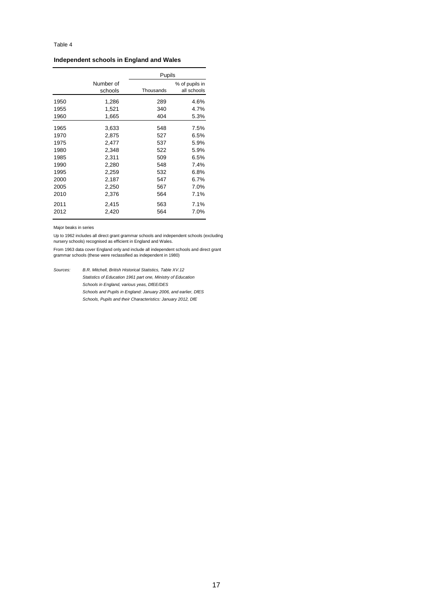### **Independent schools in England and Wales**

|      |           | Pupils    |                |
|------|-----------|-----------|----------------|
|      | Number of |           | % of pupils in |
|      | schools   | Thousands | all schools    |
| 1950 | 1,286     | 289       | 4.6%           |
| 1955 | 1,521     | 340       | 4.7%           |
| 1960 | 1,665     | 404       | 5.3%           |
| 1965 | 3,633     | 548       | 7.5%           |
| 1970 | 2,875     | 527       | 6.5%           |
| 1975 | 2,477     | 537       | 5.9%           |
| 1980 | 2,348     | 522       | 5.9%           |
| 1985 | 2,311     | 509       | 6.5%           |
| 1990 | 2,280     | 548       | 7.4%           |
| 1995 | 2,259     | 532       | 6.8%           |
| 2000 | 2,187     | 547       | 6.7%           |
| 2005 | 2,250     | 567       | 7.0%           |
| 2010 | 2,376     | 564       | 7.1%           |
| 2011 | 2,415     | 563       | 7.1%           |
| 2012 | 2,420     | 564       | 7.0%           |

Major beaks in series

Up to 1962 includes all direct grant grammar schools and independent schools (excluding nursery schools) recognised as efficient in England and Wales.

From 1963 data cover England only and include all independent schools and direct grant grammar schools (these were reclassified as independent in 1980)

*Sources: B.R. Mitchell, British Historical Statistics, Table XV.12 Statistics of Education 1961 part one, Ministry of Education Schools in England, various yeas, DfEE/DES Schools and Pupils in England: January 2006, and earlier, DfES Schools, Pupils and their Characteristics: January 2012, DfE*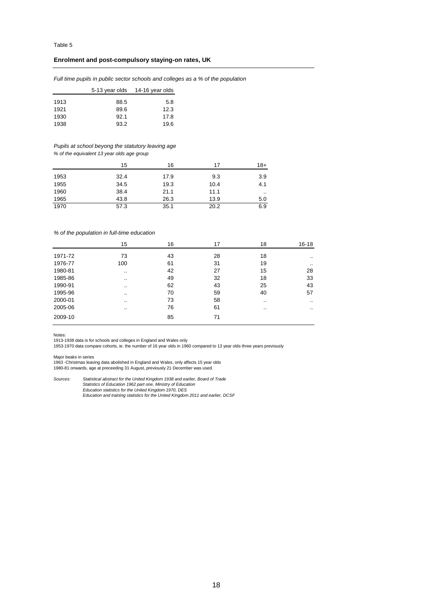### **Enrolment and post-compulsory staying-on rates, UK**

*Full time pupils in public sector schools and colleges as a % of the population*

|      |      | 5-13 year olds 14-16 year olds |
|------|------|--------------------------------|
| 1913 | 88.5 | 5.8                            |
| 1921 | 89.6 | 12.3                           |
| 1930 | 92.1 | 17.8                           |
| 1938 | 93.2 | 19.6                           |

### *Pupils at school beyong the statutory leaving age*

*% of the equivalent 13 year olds age group*

|      | 15   | 16   | 17   | 18+    |
|------|------|------|------|--------|
| 1953 | 32.4 | 17.9 | 9.3  | 3.9    |
| 1955 | 34.5 | 19.3 | 10.4 | 4.1    |
| 1960 | 38.4 | 21.1 | 11.1 | $\sim$ |
| 1965 | 43.8 | 26.3 | 13.9 | 5.0    |
| 1970 | 57.3 | 35.1 | 20.2 | 6.9    |

#### *% of the population in full-time education*

|         | 15      | 16 | 17 | 18 | 16-18     |
|---------|---------|----|----|----|-----------|
| 1971-72 | 73      | 43 | 28 | 18 |           |
| 1976-77 | 100     | 61 | 31 | 19 | $\cdot$ . |
| 1980-81 |         | 42 | 27 | 15 | 28        |
| 1985-86 |         | 49 | 32 | 18 | 33        |
| 1990-91 | $\cdot$ | 62 | 43 | 25 | 43        |
| 1995-96 | $\cdot$ | 70 | 59 | 40 | 57        |
| 2000-01 | $\cdot$ | 73 | 58 |    |           |
| 2005-06 | $\cdot$ | 76 | 61 |    |           |
| 2009-10 |         | 85 | 71 |    |           |

Notes:

1913-1938 data is for schools and colleges in England and Wales only 1953-1970 data compare cohorts, ie. the number of 16 year olds in 1960 compared to 13 year olds three years previously

Major beaks in series 1963 -Christmas leaving data abolished in England and Wales, only affects 15 year olds 1980-81 onwards, age at preceeding 31 August, previously 21 December was used.

*Sources: Statistical abstract for the United Kingdom 1938 and earlier, Board of Trade Statistics of Education 1962 part one, Ministry of Education Education statistics for the United Kingdom 1970, DES Education and training statistics for the United Kingdom 2011 and earlier, DCSF*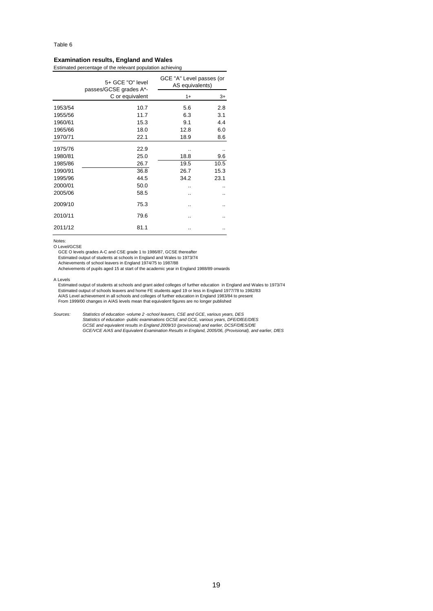#### Table 6

### **Examination results, England and Wales**

Estimated percentage of the relevant population achieving

|         | 5+ GCE "O" level<br>passes/GCSE grades A*- | GCE "A" Level passes (or<br>AS equivalents) |      |
|---------|--------------------------------------------|---------------------------------------------|------|
|         | C or equivalent                            | $1+$                                        | $3+$ |
| 1953/54 | 10.7                                       | 5.6                                         | 2.8  |
| 1955/56 | 11.7                                       | 6.3                                         | 3.1  |
| 1960/61 | 15.3                                       | 9.1                                         | 4.4  |
| 1965/66 | 18.0                                       | 12.8                                        | 6.0  |
| 1970/71 | 22.1                                       | 18.9                                        | 8.6  |
| 1975/76 | 22.9                                       |                                             |      |
| 1980/81 | 25.0                                       | 18.8                                        | 9.6  |
| 1985/86 | 26.7                                       | 19.5                                        | 10.5 |
| 1990/91 | 36.8                                       | 26.7                                        | 15.3 |
| 1995/96 | 44.5                                       | 34.2                                        | 23.1 |
| 2000/01 | 50.0                                       |                                             |      |
| 2005/06 | 58.5                                       | ٠.                                          |      |
| 2009/10 | 75.3                                       | ٠.                                          |      |
| 2010/11 | 79.6                                       | ٠.                                          |      |
| 2011/12 | 81.1                                       |                                             |      |

Notes:

O Level/GCSE

GCE O levels grades A-C and CSE grade 1 to 1986/87, GCSE thereafter Estimated output of students at schools in England and Wales to 1973/74 Achievements of school leavers in England 1974/75 to 1987/88

Acheivements of pupils aged 15 at start of the academic year in England 1988/89 onwards

A Levels

Estimated output of students at schools and grant aided colleges of further education in England and Wales to 1973/74 Estimated output of schools leavers and home FE students aged 19 or less in England 1977/78 to 1982/83<br>A/AS Level achievement in all schools and colleges of further education in England 1983/84 to present<br>From 1999/00 chan

*Sources: Statistics of education -volume 2 -school leavers, CSE and GCE, various years, DES Statistics of education -public examinations GCSE and GCE, various years, DFE/DfEE/DfES GCSE and equivalent results in England 2009/10 (provisional) and earlier, DCSF/DfES/DfE GCE/VCE A/AS and Equivalent Examination Results in England, 2005/06, (Provisional), and earlier, DfES*